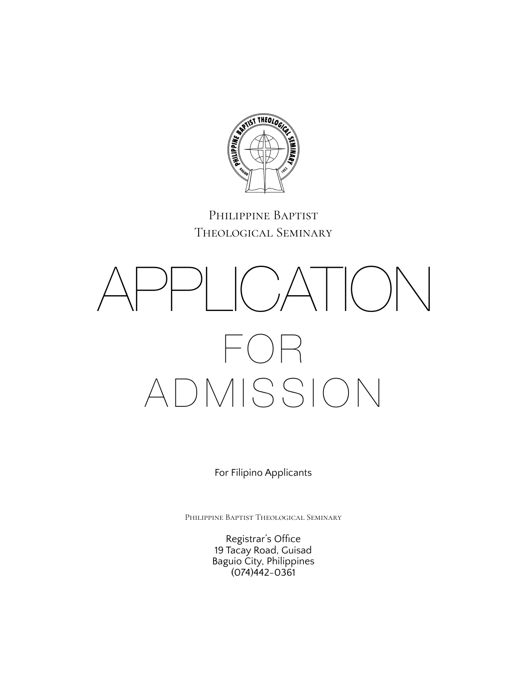

### Philippine Baptist Theological Seminary

# $P_{\perp}$  ( )  $A$  | ( )  $N$  $( )\mathsf{H}% _{\mathbb{Z}}\times\mathbb{Z}^{2}\rightarrow\mathsf{H}_{\mathbb{Z}}\times\mathbb{Z}^{2}$ ADMISSION

For Filipino Applicants

Philippine Baptist Theological Seminary

Registrar's Office 19 Tacay Road, Guisad Baguio City, Philippines (074)442-0361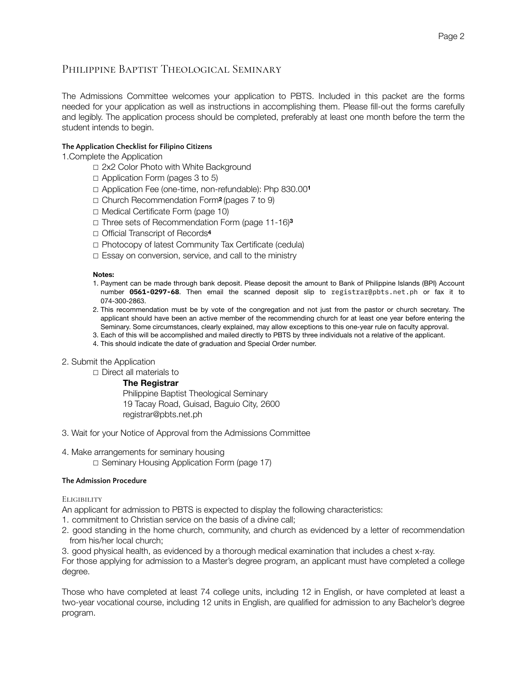### PHILIPPINE BAPTIST THEOLOGICAL SEMINARY

The Admissions Committee welcomes your application to PBTS. Included in this packet are the forms needed for your application as well as instructions in accomplishing them. Please fill-out the forms carefully and legibly. The application process should be completed, preferably at least one month before the term the student intends to begin.

### **The Application Checklist for Filipino Citizens**

1.Complete the Application

- ☐ 2x2 Color Photo with White Background
- $\Box$  Application Form (pages 3 to 5)
- ☐ Application Fee (one-time, non-refundable): Php 830.00**<sup>1</sup>**
- ☐ Church Recommendation Form**2** (pages 7 to 9)
- ☐ Medical Certificate Form (page 10)
- ☐ Three sets of Recommendation Form (page 11-16)**<sup>3</sup>**
- ☐ Official Transcript of Records**<sup>4</sup>**
- ☐ Photocopy of latest Community Tax Certificate (cedula)
- ☐ Essay on conversion, service, and call to the ministry

#### **Notes:**

- 1. Payment can be made through bank deposit. Please deposit the amount to Bank of Philippine Islands (BPI) Account number **0561-0297-68**. Then email the scanned deposit slip to registrar@pbts.net.ph or fax it to 074-300-2863.
- 2. This recommendation must be by vote of the congregation and not just from the pastor or church secretary. The applicant should have been an active member of the recommending church for at least one year before entering the Seminary. Some circumstances, clearly explained, may allow exceptions to this one-year rule on faculty approval.
- 3. Each of this will be accomplished and mailed directly to PBTS by three individuals not a relative of the applicant.
- 4. This should indicate the date of graduation and Special Order number.
- 2. Submit the Application
	- ☐ Direct all materials to

### **The Registrar**

 Philippine Baptist Theological Seminary 19 Tacay Road, Guisad, Baguio City, 2600 registrar@pbts.net.ph

- 3. Wait for your Notice of Approval from the Admissions Committee
- 4. Make arrangements for seminary housing
	- ☐ Seminary Housing Application Form (page 17)

### **The Admission Procedure**

**ELIGIBILITY** 

- An applicant for admission to PBTS is expected to display the following characteristics:
- 1. commitment to Christian service on the basis of a divine call;
- 2. good standing in the home church, community, and church as evidenced by a letter of recommendation from his/her local church;
- 3. good physical health, as evidenced by a thorough medical examination that includes a chest x-ray.

For those applying for admission to a Master's degree program, an applicant must have completed a college degree.

Those who have completed at least 74 college units, including 12 in English, or have completed at least a two-year vocational course, including 12 units in English, are qualified for admission to any Bachelor's degree program.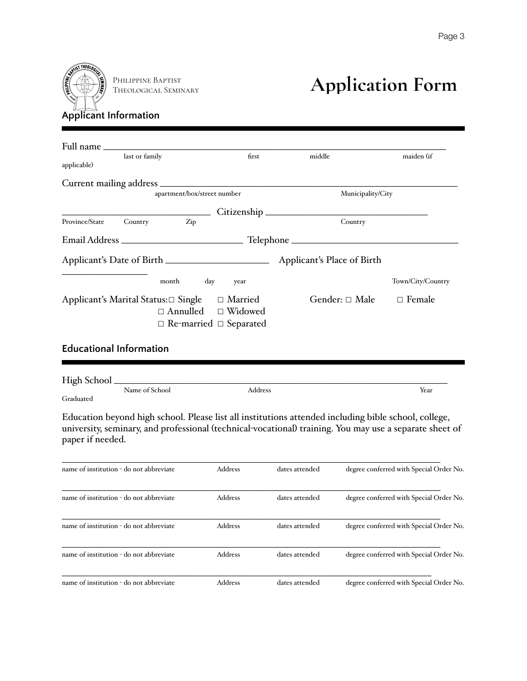

Theological Seminary

## **PHILIPPINE BAPTIST**<br>THEOLOGICAL SEMINARY **Application Form**

| applicable)                         | last or family |                             |     | first                                                                             | middle                     | maiden (if        |
|-------------------------------------|----------------|-----------------------------|-----|-----------------------------------------------------------------------------------|----------------------------|-------------------|
|                                     |                |                             |     |                                                                                   |                            |                   |
|                                     |                | apartment/box/street number |     |                                                                                   | Municipality/City          |                   |
| Province/State                      | Country        | Zip                         |     |                                                                                   | Country                    |                   |
|                                     |                |                             |     |                                                                                   |                            |                   |
|                                     |                |                             |     |                                                                                   | Applicant's Place of Birth |                   |
|                                     |                | month                       | day | year                                                                              |                            | Town/City/Country |
| Applicant's Marital Status:□ Single |                |                             |     | □ Married<br>$\Box$ Annulled $\Box$ Widowed<br>$\Box$ Re-married $\Box$ Separated | Gender: □ Male             | $\Box$ Female     |

### **Educational Information**

| High School |                |         |      |
|-------------|----------------|---------|------|
|             | Name of School | Address | Year |
| Graduated   |                |         |      |

Education beyond high school. Please list all institutions attended including bible school, college, university, seminary, and professional (technical-vocational) training. You may use a separate sheet of paper if needed.

| name of institution - do not abbreviate | <b>Address</b> | dates attended | degree conferred with Special Order No. |
|-----------------------------------------|----------------|----------------|-----------------------------------------|
| name of institution - do not abbreviate | <b>Address</b> | dates attended | degree conferred with Special Order No. |
| name of institution - do not abbreviate | <b>Address</b> | dates attended | degree conferred with Special Order No. |
| name of institution - do not abbreviate | <b>Address</b> | dates attended | degree conferred with Special Order No. |
| name of institution - do not abbreviate | <b>Address</b> | dates attended | degree conferred with Special Order No. |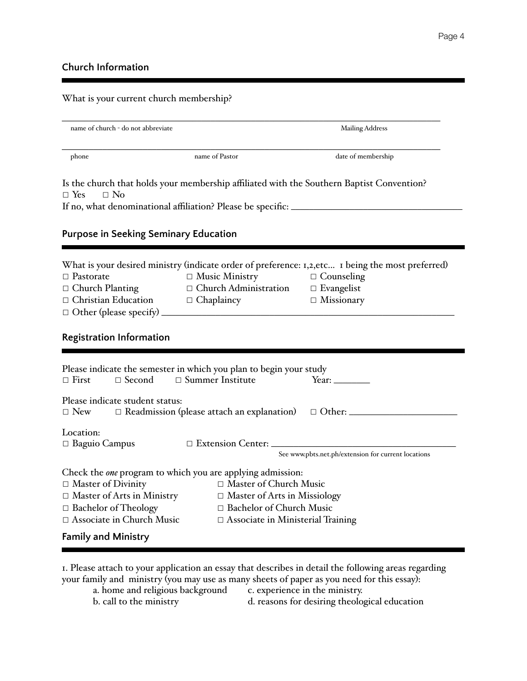### **Church Information**

### What is your current church membership?

|                                                                                                                      |                                                              | <b>Mailing Address</b>                                                                            |
|----------------------------------------------------------------------------------------------------------------------|--------------------------------------------------------------|---------------------------------------------------------------------------------------------------|
| phone                                                                                                                | name of Pastor                                               | date of membership                                                                                |
| Is the church that holds your membership affiliated with the Southern Baptist Convention?<br>$\Box$ Yes<br>$\Box$ No |                                                              |                                                                                                   |
| If no, what denominational affiliation? Please be specific: _____________________                                    |                                                              |                                                                                                   |
| <b>Purpose in Seeking Seminary Education</b>                                                                         |                                                              |                                                                                                   |
|                                                                                                                      |                                                              | What is your desired ministry (indicate order of preference: 1,2, etc 1 being the most preferred) |
| $\Box$ Pastorate                                                                                                     | $\Box$ Music Ministry                                        | $\Box$ Counseling                                                                                 |
| □ Church Planting                                                                                                    | $\Box$ Church Administration                                 | $\Box$ Evangelist                                                                                 |
| $\Box$ Christian Education $\Box$ Chaplaincy                                                                         |                                                              | $\Box$ Missionary                                                                                 |
| $\Box$ Other (please specify)                                                                                        |                                                              |                                                                                                   |
|                                                                                                                      |                                                              |                                                                                                   |
| <b>Registration Information</b>                                                                                      |                                                              |                                                                                                   |
|                                                                                                                      |                                                              |                                                                                                   |
|                                                                                                                      |                                                              |                                                                                                   |
| Please indicate the semester in which you plan to begin your study<br>$\Box$ First<br>$\Box$ Second                  | $\Box$ Summer Institute                                      | Year: $\qquad \qquad$                                                                             |
| Please indicate student status:                                                                                      |                                                              |                                                                                                   |
| $\Box$ New                                                                                                           | $\Box$ Readmission (please attach an explanation)            | $\Box$ Other:                                                                                     |
| Location:                                                                                                            |                                                              |                                                                                                   |
| $\Box$ Baguio Campus                                                                                                 | $\Box$ Extension Center: $\Box$                              |                                                                                                   |
|                                                                                                                      |                                                              | See www.pbts.net.ph/extension for current locations                                               |
|                                                                                                                      |                                                              |                                                                                                   |
| Check the one program to which you are applying admission:                                                           |                                                              |                                                                                                   |
| $\Box$ Master of Divinity                                                                                            | $\Box$ Master of Church Music                                |                                                                                                   |
| $\Box$ Master of Arts in Ministry                                                                                    | □ Master of Arts in Missiology<br>□ Bachelor of Church Music |                                                                                                   |
| □ Bachelor of Theology<br>$\Box$ Associate in Church Music                                                           |                                                              |                                                                                                   |
| <b>Family and Ministry</b>                                                                                           | $\Box$ Associate in Ministerial Training                     |                                                                                                   |

1. Please attach to your application an essay that describes in detail the following areas regarding your family and ministry (you may use as many sheets of paper as you need for this essay):

a. home and religious background c. experience in the ministry.

b. call to the ministry d. reasons for desiring theological education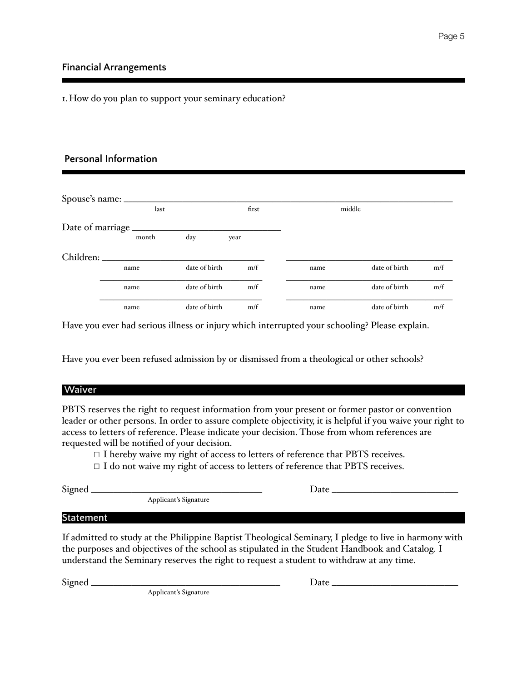### **Financial Arrangements**

1.How do you plan to support your seminary education?

### **Personal Information**

|                   | last  |               | first |      | middle        |     |
|-------------------|-------|---------------|-------|------|---------------|-----|
| Date of marriage. |       |               |       |      |               |     |
|                   | month | day           | year  |      |               |     |
| Children:         |       |               |       |      |               |     |
|                   | name  | date of birth | m/f   | name | date of birth | m/f |
|                   | name  | date of birth | m/f   | name | date of birth | m/f |
|                   | name  | date of birth | m/f   | name | date of birth | m/f |

Have you ever had serious illness or injury which interrupted your schooling? Please explain.

Have you ever been refused admission by or dismissed from a theological or other schools?

### **Waiver**

PBTS reserves the right to request information from your present or former pastor or convention leader or other persons. In order to assure complete objectivity, it is helpful if you waive your right to access to letters of reference. Please indicate your decision. Those from whom references are requested will be notified of your decision.

 $\Box$  I hereby waive my right of access to letters of reference that PBTS receives.

□ I do not waive my right of access to letters of reference that PBTS receives.

| n<br>σ<br>е |  |
|-------------|--|
|             |  |

Signed \_\_\_\_\_\_\_\_\_\_\_\_\_\_\_\_\_\_\_\_\_\_\_\_\_\_\_\_\_\_\_\_\_\_\_\_\_\_ Date \_\_\_\_\_\_\_\_\_\_\_\_\_\_\_\_\_\_\_\_\_\_\_\_\_\_\_\_ Applicant's Signature

### **Statement**

If admitted to study at the Philippine Baptist Theological Seminary, I pledge to live in harmony with the purposes and objectives of the school as stipulated in the Student Handbook and Catalog. I understand the Seminary reserves the right to request a student to withdraw at any time.

Signed \_\_\_\_\_\_\_\_\_\_\_\_\_\_\_\_\_\_\_\_\_\_\_\_\_\_\_\_\_\_\_\_\_\_\_\_\_\_\_\_\_\_ Date \_\_\_\_\_\_\_\_\_\_\_\_\_\_\_\_\_\_\_\_\_\_\_\_\_\_\_\_ Applicant's Signature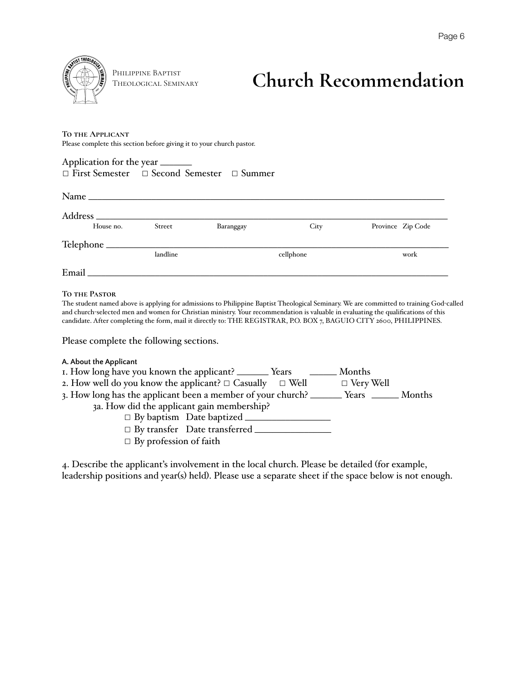

Philippine Baptist

### **THEOLOGICAL SEMINARY Church Recommendation**

#### **To the Applicant**

Please complete this section before giving it to your church pastor.

| $\Box$ First Semester $\Box$ Second Semester $\Box$ Summer |  |  |
|------------------------------------------------------------|--|--|

| $Name_$   |          |           |           |                   |
|-----------|----------|-----------|-----------|-------------------|
|           |          |           |           |                   |
| House no. | Street   | Baranggay | City      | Province Zip Code |
|           |          |           |           |                   |
|           | landline |           | cellphone | work              |
| Email     |          |           |           |                   |

### **To the Pastor**

The student named above is applying for admissions to Philippine Baptist Theological Seminary. We are committed to training God-called and church-selected men and women for Christian ministry. Your recommendation is valuable in evaluating the qualifications of this candidate. After completing the form, mail it directly to: THE REGISTRAR, P.O. BOX 7, BAGUIO CITY 2600, PHILIPPINES.

Please complete the following sections.

### **A. About the Applicant**

| I. How long have you known the applicant? _________ Years                                  | <u>______</u> Months |  |
|--------------------------------------------------------------------------------------------|----------------------|--|
| 2. How well do you know the applicant? $\Box$ Casually $\Box$ Well                         | $\Box$ Very Well     |  |
| 3. How long has the applicant been a member of your church? _________ Years _______ Months |                      |  |
| 3a. How did the applicant gain membership?                                                 |                      |  |
| $\Box$ By baptism Date baptized $\Box$                                                     |                      |  |
| $\Box$ By transfer Date transferred $\_\_$                                                 |                      |  |
| $\Box$ By profession of faith                                                              |                      |  |

4. Describe the applicant's involvement in the local church. Please be detailed (for example, leadership positions and year(s) held). Please use a separate sheet if the space below is not enough.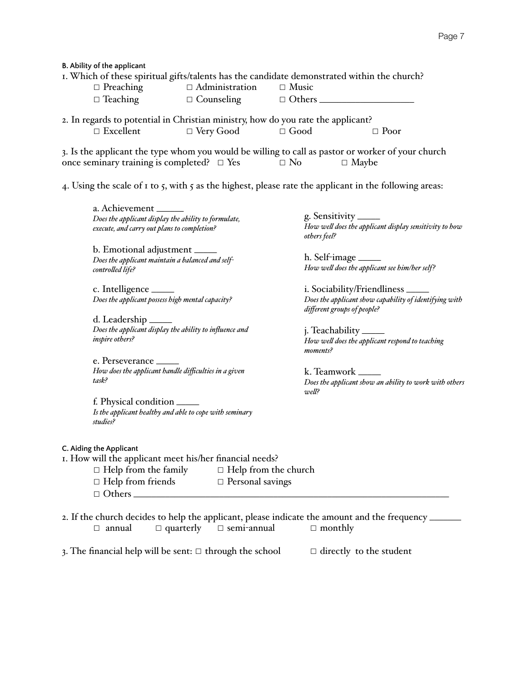**B. Ability of the applicant**

| I. Which of these spiritual gifts/talents has the candidate demonstrated within the church?         |                                        |              |                                                                                                                   |
|-----------------------------------------------------------------------------------------------------|----------------------------------------|--------------|-------------------------------------------------------------------------------------------------------------------|
|                                                                                                     | $\Box$ Preaching $\Box$ Administration | $\Box$ Music |                                                                                                                   |
| $\Box$ Teaching                                                                                     | $\Box$ Counseling $\Box$ Others $\Box$ |              |                                                                                                                   |
| 2. In regards to potential in Christian ministry, how do you rate the applicant?                    |                                        |              |                                                                                                                   |
| $\Box$ Excellent                                                                                    | $\Box$ Very Good $\Box$ Good           |              | $\Box$ Poor                                                                                                       |
| once seminary training is completed? $\Box$ Yes $\Box$ No                                           |                                        |              | 3. Is the applicant the type whom you would be willing to call as pastor or worker of your church<br>$\Box$ Maybe |
|                                                                                                     |                                        |              | 4. Using the scale of 1 to 5, with 5 as the highest, please rate the applicant in the following areas:            |
| a. Achievement _______                                                                              |                                        |              |                                                                                                                   |
| Does the applicant display the ability to formulate,<br>execute, and carry out plans to completion? |                                        | others feel? | g. Sensitivity $\_\_\_\_\_\$<br>How well does the applicant display sensitivity to                                |
| h Emotional adjustment                                                                              |                                        |              |                                                                                                                   |

b. Emotional adjustment \_\_\_\_\_ *Does the applicant maintain a balanced and selfcontrolled life?* 

c. Intelligence \_\_\_\_\_ *Does the applicant possess high mental capacity?* 

d. Leadership \_\_\_\_\_ *Does the applicant display the ability to influence and inspire others?* 

e. Perseverance \_\_\_\_\_ *How does the applicant handle difficulties in a given task?* 

f. Physical condition \_\_\_\_\_ *Is the applicant healthy and able to cope with seminary studies?*

*How well does the applicant display sensitivity to how* 

h. Self-image \_\_\_\_\_ *How well does the applicant see him/her self?* 

i. Sociability/Friendliness \_\_\_\_\_ *Does the applicant show capability of identifying with different groups of people?* 

j. Teachability \_\_\_\_\_ *How well does the applicant respond to teaching moments?* 

k. Teamwork \_\_\_\_\_ *Does the applicant show an ability to work with others well?* 

### **C. Aiding the Applicant**

1. How will the applicant meet his/her financial needs?

- ☐ Help from the family ☐ Help from the church
	- ☐ Help from friends ☐ Personal savings  $\Box$  Others  $\Box$

2. If the church decides to help the applicant, please indicate the amount and the frequency  $\equiv$ ☐ annual ☐ quarterly ☐ semi-annual ☐ monthly

3. The financial help will be sent:  $\Box$  through the school  $\Box$  directly to the student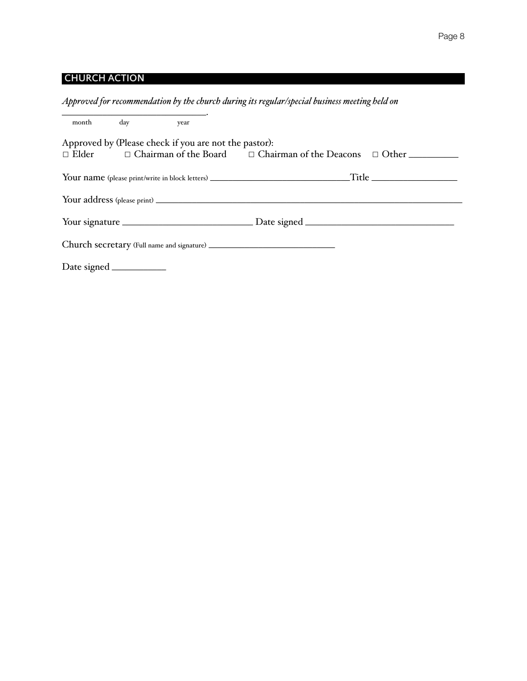### **CHURCH ACTION**

### *Approved for recommendation by the church during its regular/special business meeting held on*

| month day year |                                                       |                                                                                       |
|----------------|-------------------------------------------------------|---------------------------------------------------------------------------------------|
|                | Approved by (Please check if you are not the pastor): |                                                                                       |
|                |                                                       | $\Box$ Elder $\Box$ Chairman of the Board $\Box$ Chairman of the Deacons $\Box$ Other |
|                |                                                       |                                                                                       |
|                |                                                       |                                                                                       |
|                |                                                       |                                                                                       |
|                |                                                       |                                                                                       |
|                |                                                       |                                                                                       |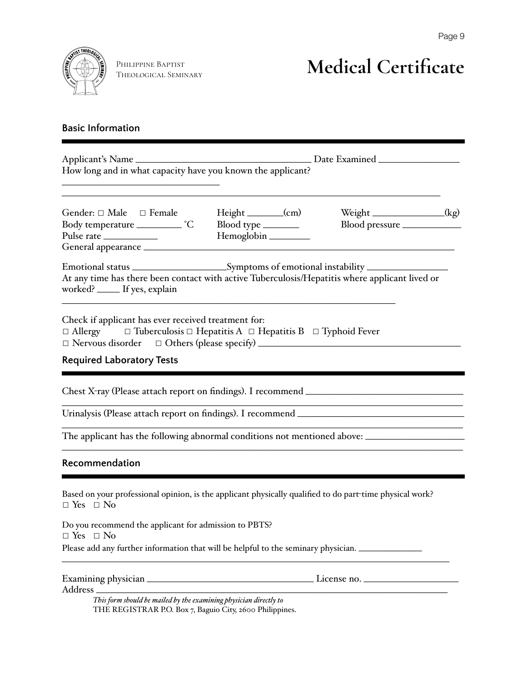

Theological Seminary

## **Medical Certificate**

### **Basic Information**

| How long and in what capacity have you known the applicant?                                                                                                                                                                             |                                                   |                           |  |  |  |  |  |  |
|-----------------------------------------------------------------------------------------------------------------------------------------------------------------------------------------------------------------------------------------|---------------------------------------------------|---------------------------|--|--|--|--|--|--|
| Gender: $\Box$ Male $\Box$ Female<br>Body temperature ____________ °C                                                                                                                                                                   | $Height$ (cm)<br>Blood type _______<br>Hemoglobin | Weight ______________(kg) |  |  |  |  |  |  |
| Emotional status _________________________Symptoms of emotional instability _______________________<br>At any time has there been contact with active Tuberculosis/Hepatitis where applicant lived or<br>worked? _____ If yes, explain  |                                                   |                           |  |  |  |  |  |  |
| Check if applicant has ever received treatment for:<br>$\Box$ Allergy $\Box$ Tuberculosis $\Box$ Hepatitis A $\Box$ Hepatitis B $\Box$ Typhoid Fever<br>□ Nervous disorder □ Others (please specify) __________________________________ |                                                   |                           |  |  |  |  |  |  |
| <b>Required Laboratory Tests</b>                                                                                                                                                                                                        |                                                   |                           |  |  |  |  |  |  |
|                                                                                                                                                                                                                                         |                                                   |                           |  |  |  |  |  |  |
| Urinalysis (Please attach report on findings). I recommend ______________________                                                                                                                                                       |                                                   |                           |  |  |  |  |  |  |
|                                                                                                                                                                                                                                         |                                                   |                           |  |  |  |  |  |  |
| Recommendation                                                                                                                                                                                                                          |                                                   |                           |  |  |  |  |  |  |
| Based on your professional opinion, is the applicant physically qualified to do part-time physical work?<br>$\Box$ Yes $\Box$ No                                                                                                        |                                                   |                           |  |  |  |  |  |  |
| Do you recommend the applicant for admission to PBTS?<br>$\Box$ Yes $\Box$ No                                                                                                                                                           |                                                   |                           |  |  |  |  |  |  |
| Please add any further information that will be helpful to the seminary physician.                                                                                                                                                      |                                                   |                           |  |  |  |  |  |  |
|                                                                                                                                                                                                                                         |                                                   |                           |  |  |  |  |  |  |

Address \_\_\_\_\_\_\_\_\_\_\_\_\_\_\_\_\_\_\_\_\_\_\_\_\_\_\_\_\_\_\_\_\_\_\_\_\_\_\_\_\_\_\_\_\_\_\_\_\_\_\_\_\_\_\_\_\_\_\_\_\_\_\_\_\_\_\_\_\_\_\_\_\_\_\_\_\_\_

*This form should be mailed by the examining physician directly to* THE REGISTRAR P.O. Box 7, Baguio City, 2600 Philippines.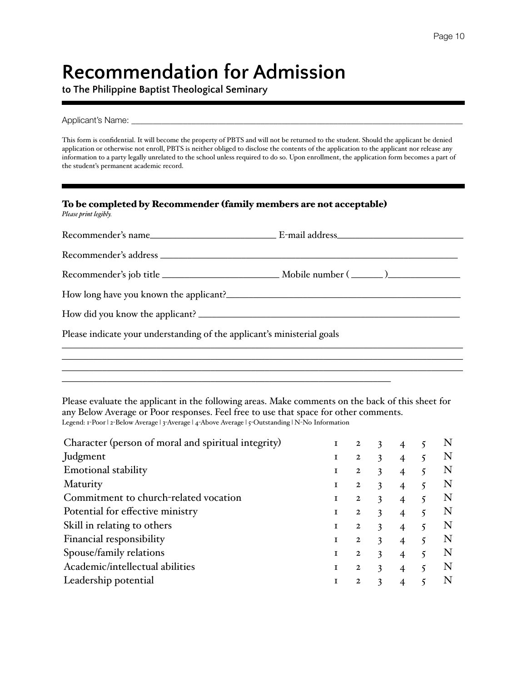# **Recommendation for Admission**

**to The Philippine Baptist Theological Seminary**

Applicant's Name:

This form is confidential. It will become the property of PBTS and will not be returned to the student. Should the applicant be denied application or otherwise not enroll, PBTS is neither obliged to disclose the contents of the application to the applicant nor release any information to a party legally unrelated to the school unless required to do so. Upon enrollment, the application form becomes a part of the student's permanent academic record.

| To be completed by Recommender (family members are not acceptable)<br>Please print legibly. |  |
|---------------------------------------------------------------------------------------------|--|
|                                                                                             |  |
|                                                                                             |  |
|                                                                                             |  |
|                                                                                             |  |
|                                                                                             |  |
| Please indicate your understanding of the applicant's ministerial goals                     |  |
|                                                                                             |  |
|                                                                                             |  |

Please evaluate the applicant in the following areas. Make comments on the back of this sheet for any Below Average or Poor responses. Feel free to use that space for other comments. Legend: 1-Poor | 2-Below Average | 3-Average | 4-Above Average | 5-Outstanding | N-No Information

 $\mathcal{L}_\text{max}$  and  $\mathcal{L}_\text{max}$  and  $\mathcal{L}_\text{max}$  and  $\mathcal{L}_\text{max}$  and  $\mathcal{L}_\text{max}$ 

| Character (person of moral and spiritual integrity) |   | $\mathbf{2}$   | 3 | 4                        |   |
|-----------------------------------------------------|---|----------------|---|--------------------------|---|
| Judgment                                            |   | 2              | 3 |                          |   |
| <b>Emotional stability</b>                          |   | 2              | 3 | 4                        |   |
| Maturity                                            |   | 2              | 3 | 4                        |   |
| Commitment to church-related vocation               | 1 | $\mathbf{2}$   | 3 |                          |   |
| Potential for effective ministry                    | T | $\mathbf{2}$   | 3 | $\overline{4}$           |   |
| Skill in relating to others                         |   | 2              | 3 | 4                        | N |
| Financial responsibility                            |   | $\overline{2}$ | 3 |                          |   |
| Spouse/family relations                             |   | $\overline{2}$ | 3 | $\overline{\mathcal{A}}$ | N |
| Academic/intellectual abilities                     |   | 2              | 3 | 4                        | N |
| Leadership potential                                |   | 2              | 3 |                          |   |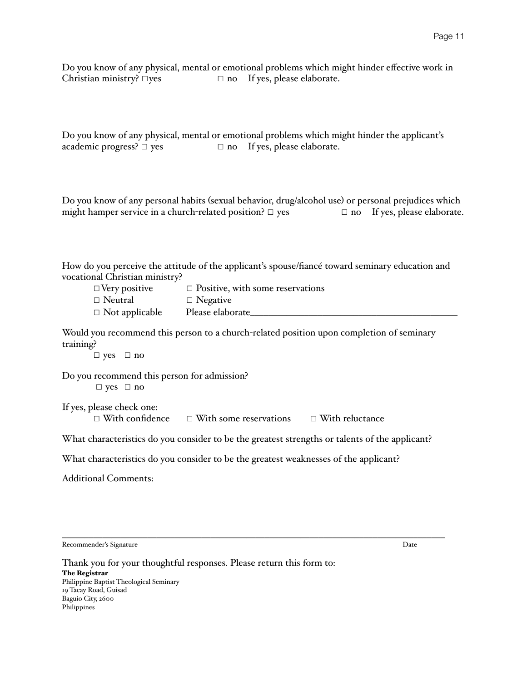Do you know of any physical, mental or emotional problems which might hinder effective work in Christian ministry?  $\square$ yes  $\square$  no If yes, please elaborate.

Do you know of any physical, mental or emotional problems which might hinder the applicant's academic progress?  $\Box$  yes  $\Box$  no If yes, please elaborate.

Do you know of any personal habits (sexual behavior, drug/alcohol use) or personal prejudices which might hamper service in a church-related position?  $\Box$  yes  $\Box$  no If yes, please elaborate.

How do you perceive the attitude of the applicant's spouse/fiancé toward seminary education and vocational Christian ministry?

| $\Box$ Very positive  | $\Box$ Positive, with some reservations |
|-----------------------|-----------------------------------------|
| $\Box$ Neutral        | $\Box$ Negative                         |
| $\Box$ Not applicable | Please elaborate_                       |

Would you recommend this person to a church-related position upon completion of seminary training?

☐ yes ☐ no

Do you recommend this person for admission? ☐ yes ☐ no

If yes, please check one:

☐ With confidence ☐ With some reservations ☐ With reluctance

What characteristics do you consider to be the greatest strengths or talents of the applicant?

What characteristics do you consider to be the greatest weaknesses of the applicant?

Additional Comments:

\_\_\_\_\_\_\_\_\_\_\_\_\_\_\_\_\_\_\_\_\_\_\_\_\_\_\_\_\_\_\_\_\_\_\_\_\_\_\_\_\_\_\_\_\_\_\_\_\_\_\_\_\_\_\_\_\_\_\_\_\_\_\_\_\_\_\_\_\_\_\_\_\_\_\_\_\_\_\_\_\_\_\_\_\_ Recommender's Signature Date

Thank you for your thoughtful responses. Please return this form to: The Registrar Philippine Baptist Theological Seminary 19 Tacay Road, Guisad Baguio City, 2600 Philippines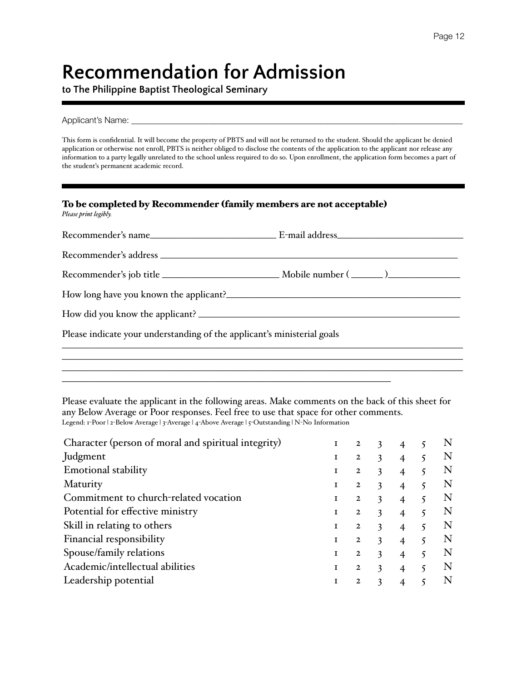# **Recommendation for Admission**

**to The Philippine Baptist Theological Seminary**

Applicant's Name:

This form is confidential. It will become the property of PBTS and will not be returned to the student. Should the applicant be denied application or otherwise not enroll, PBTS is neither obliged to disclose the contents of the application to the applicant nor release any information to a party legally unrelated to the school unless required to do so. Upon enrollment, the application form becomes a part of the student's permanent academic record.

| To be completed by Recommender (family members are not acceptable)<br>Please print legibly. |  |
|---------------------------------------------------------------------------------------------|--|
|                                                                                             |  |
|                                                                                             |  |
|                                                                                             |  |
|                                                                                             |  |
|                                                                                             |  |
| Please indicate your understanding of the applicant's ministerial goals                     |  |
|                                                                                             |  |
|                                                                                             |  |

Please evaluate the applicant in the following areas. Make comments on the back of this sheet for any Below Average or Poor responses. Feel free to use that space for other comments. Legend: 1-Poor | 2-Below Average | 3-Average | 4-Above Average | 5-Outstanding | N-No Information

 $\mathcal{L}_\text{max}$  and  $\mathcal{L}_\text{max}$  and  $\mathcal{L}_\text{max}$  and  $\mathcal{L}_\text{max}$  and  $\mathcal{L}_\text{max}$ 

| Character (person of moral and spiritual integrity) |              | 2            | 3 | 4                        |   |
|-----------------------------------------------------|--------------|--------------|---|--------------------------|---|
| Judgment                                            |              | 2            | 3 |                          |   |
| <b>Emotional stability</b>                          |              | $\mathbf{2}$ | 3 | 4                        |   |
| Maturity                                            |              | 2            | 3 | 4                        | N |
| Commitment to church-related vocation               | $\mathbf{I}$ | $\mathbf{2}$ | 3 |                          |   |
| Potential for effective ministry                    | L            | 2            | 3 | $\overline{\mathcal{A}}$ | N |
| Skill in relating to others                         |              | 2            | 3 | $\overline{\mathcal{A}}$ | N |
| Financial responsibility                            |              | $\mathbf{2}$ | 3 |                          |   |
| Spouse/family relations                             |              | $\mathbf{2}$ | 3 | $\overline{4}$           | N |
| Academic/intellectual abilities                     |              | 2            | 3 | 4                        | N |
| Leadership potential                                |              | 2            | 3 |                          |   |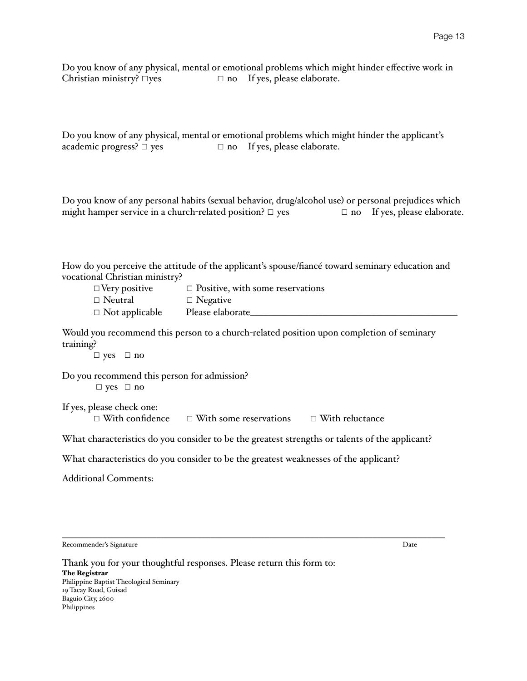Do you know of any physical, mental or emotional problems which might hinder effective work in Christian ministry?  $\square$ yes  $\square$  no If yes, please elaborate.

Do you know of any physical, mental or emotional problems which might hinder the applicant's academic progress?  $\Box$  yes  $\Box$  no If yes, please elaborate.

Do you know of any personal habits (sexual behavior, drug/alcohol use) or personal prejudices which might hamper service in a church-related position?  $\Box$  yes  $\Box$  no If yes, please elaborate.

How do you perceive the attitude of the applicant's spouse/fiancé toward seminary education and vocational Christian ministry?

| $\Box$ Very positive  | $\Box$ Positive, with some reservations |
|-----------------------|-----------------------------------------|
| $\Box$ Neutral        | $\Box$ Negative                         |
| $\Box$ Not applicable | Please elaborate                        |

Would you recommend this person to a church-related position upon completion of seminary training?

☐ yes ☐ no

Do you recommend this person for admission? ☐ yes ☐ no

If yes, please check one:

☐ With confidence ☐ With some reservations ☐ With reluctance

What characteristics do you consider to be the greatest strengths or talents of the applicant?

What characteristics do you consider to be the greatest weaknesses of the applicant?

Additional Comments:

\_\_\_\_\_\_\_\_\_\_\_\_\_\_\_\_\_\_\_\_\_\_\_\_\_\_\_\_\_\_\_\_\_\_\_\_\_\_\_\_\_\_\_\_\_\_\_\_\_\_\_\_\_\_\_\_\_\_\_\_\_\_\_\_\_\_\_\_\_\_\_\_\_\_\_\_\_\_\_\_\_\_\_\_\_ Recommender's Signature Date

Thank you for your thoughtful responses. Please return this form to: The Registrar Philippine Baptist Theological Seminary 19 Tacay Road, Guisad Baguio City, 2600 Philippines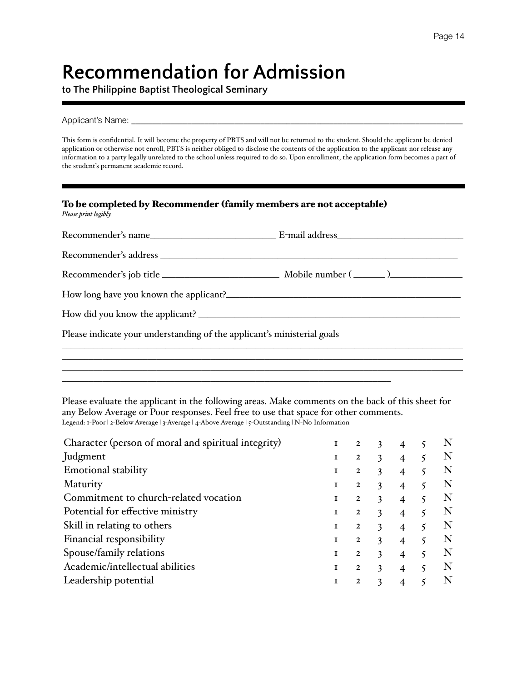# **Recommendation for Admission**

**to The Philippine Baptist Theological Seminary**

Applicant's Name:

This form is confidential. It will become the property of PBTS and will not be returned to the student. Should the applicant be denied application or otherwise not enroll, PBTS is neither obliged to disclose the contents of the application to the applicant nor release any information to a party legally unrelated to the school unless required to do so. Upon enrollment, the application form becomes a part of the student's permanent academic record.

| To be completed by Recommender (family members are not acceptable)<br>Please print legibly. |  |
|---------------------------------------------------------------------------------------------|--|
|                                                                                             |  |
|                                                                                             |  |
|                                                                                             |  |
|                                                                                             |  |
|                                                                                             |  |
| Please indicate your understanding of the applicant's ministerial goals                     |  |
|                                                                                             |  |
|                                                                                             |  |

Please evaluate the applicant in the following areas. Make comments on the back of this sheet for any Below Average or Poor responses. Feel free to use that space for other comments. Legend: 1-Poor | 2-Below Average | 3-Average | 4-Above Average | 5-Outstanding | N-No Information

 $\mathcal{L}_\text{max}$  and  $\mathcal{L}_\text{max}$  and  $\mathcal{L}_\text{max}$  and  $\mathcal{L}_\text{max}$  and  $\mathcal{L}_\text{max}$ 

| Character (person of moral and spiritual integrity) | $\mathbf I$ | $\overline{2}$ | 3 | 4              |   |   |
|-----------------------------------------------------|-------------|----------------|---|----------------|---|---|
| Judgment                                            |             | $\mathbf{2}$   | 3 |                |   |   |
| <b>Emotional stability</b>                          |             | 2              | 3 | $\overline{4}$ |   |   |
| Maturity                                            | 1           | 2              | 3 | 4              |   |   |
| Commitment to church-related vocation               | T           | $\mathbf{2}$   | 3 |                |   |   |
| Potential for effective ministry                    |             | 2              | 3 | $\overline{4}$ |   |   |
| Skill in relating to others                         | T           | 2              | 3 | 4              |   | N |
| Financial responsibility                            | T           | $\overline{2}$ | 3 |                |   |   |
| Spouse/family relations                             | 1           | $\mathbf{2}$   | 3 | $\overline{4}$ | 5 | N |
| Academic/intellectual abilities                     |             | $\overline{2}$ | 3 | 4              |   | N |
| Leadership potential                                |             | 2              | 3 |                |   |   |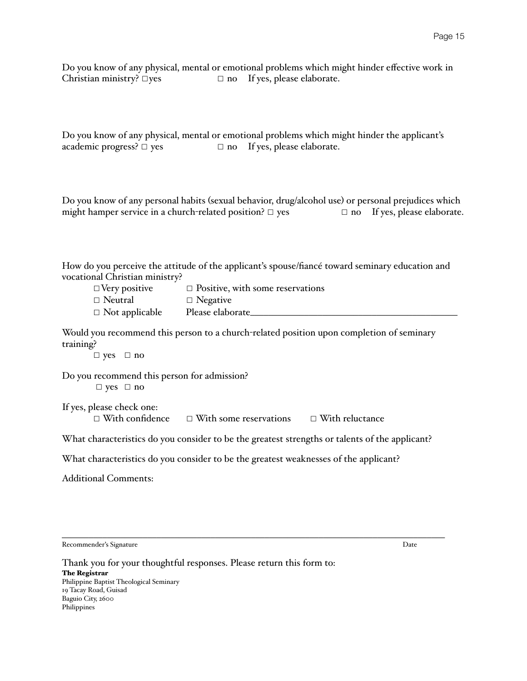Do you know of any physical, mental or emotional problems which might hinder effective work in Christian ministry?  $\square$ yes  $\square$  no If yes, please elaborate.

Do you know of any physical, mental or emotional problems which might hinder the applicant's academic progress?  $\Box$  yes  $\Box$  no If yes, please elaborate.

Do you know of any personal habits (sexual behavior, drug/alcohol use) or personal prejudices which might hamper service in a church-related position?  $\Box$  yes  $\Box$  no If yes, please elaborate.

How do you perceive the attitude of the applicant's spouse/fiancé toward seminary education and vocational Christian ministry?

| $\Box$ Very positive  | $\Box$ Positive, with some reservations |
|-----------------------|-----------------------------------------|
| $\Box$ Neutral        | $\Box$ Negative                         |
| $\Box$ Not applicable | Please elaborate_                       |

Would you recommend this person to a church-related position upon completion of seminary training?

☐ yes ☐ no

Do you recommend this person for admission? ☐ yes ☐ no

If yes, please check one:

☐ With confidence ☐ With some reservations ☐ With reluctance

What characteristics do you consider to be the greatest strengths or talents of the applicant?

What characteristics do you consider to be the greatest weaknesses of the applicant?

Additional Comments:

\_\_\_\_\_\_\_\_\_\_\_\_\_\_\_\_\_\_\_\_\_\_\_\_\_\_\_\_\_\_\_\_\_\_\_\_\_\_\_\_\_\_\_\_\_\_\_\_\_\_\_\_\_\_\_\_\_\_\_\_\_\_\_\_\_\_\_\_\_\_\_\_\_\_\_\_\_\_\_\_\_\_\_\_\_ Recommender's Signature Date

Thank you for your thoughtful responses. Please return this form to: The Registrar Philippine Baptist Theological Seminary 19 Tacay Road, Guisad Baguio City, 2600 Philippines